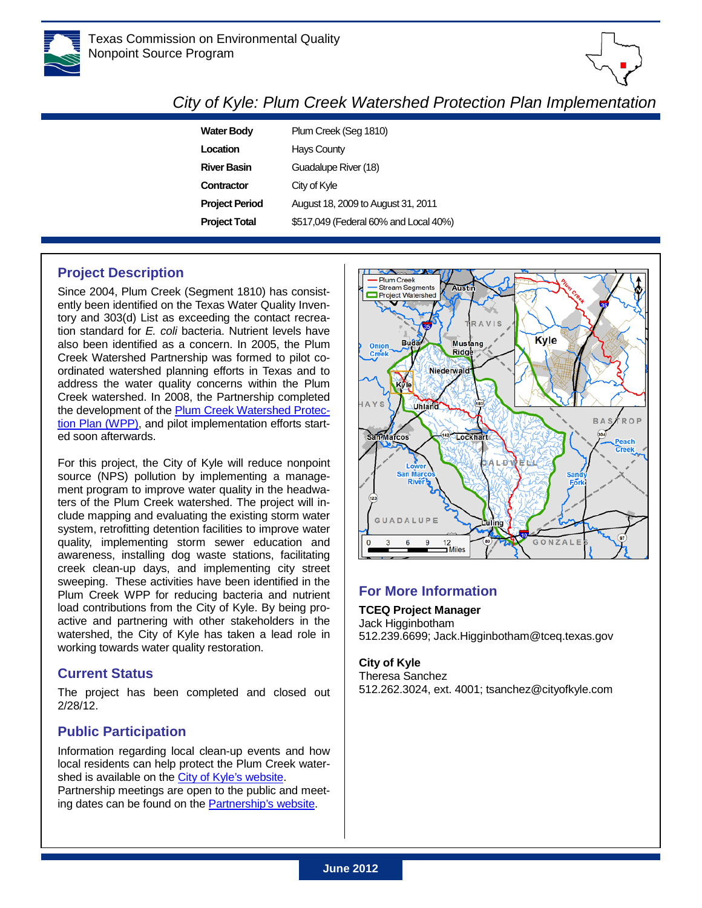



# *City of Kyle: Plum Creek Watershed Protection Plan Implementation*

| <b>Water Body</b>     | Plum Creek (Seg 1810)                 |
|-----------------------|---------------------------------------|
| Location              | <b>Hays County</b>                    |
| <b>River Basin</b>    | Guadalupe River (18)                  |
| Contractor            | City of Kyle                          |
| <b>Project Period</b> | August 18, 2009 to August 31, 2011    |
| <b>Project Total</b>  | \$517,049 (Federal 60% and Local 40%) |

## **Project Description**

Since 2004, Plum Creek (Segment 1810) has consistently been identified on the Texas Water Quality Inventory and 303(d) List as exceeding the contact recreation standard for *E. coli* bacteria. Nutrient levels have also been identified as a concern. In 2005, the Plum Creek Watershed Partnership was formed to pilot coordinated watershed planning efforts in Texas and to address the water quality concerns within the Plum Creek watershed. In 2008, the Partnership completed the development of the [Plum Creek Watershed Protec](http://pcwp.tamu.edu/media/4715/PCWPPdraft8_7_08.pdf)[tion Plan \(WPP\),](http://pcwp.tamu.edu/media/4715/PCWPPdraft8_7_08.pdf) and pilot implementation efforts started soon afterwards.

For this project, the City of Kyle will reduce nonpoint source (NPS) pollution by implementing a management program to improve water quality in the headwaters of the Plum Creek watershed. The project will include mapping and evaluating the existing storm water system, retrofitting detention facilities to improve water quality, implementing storm sewer education and awareness, installing dog waste stations, facilitating creek clean-up days, and implementing city street sweeping. These activities have been identified in the Plum Creek WPP for reducing bacteria and nutrient load contributions from the City of Kyle. By being proactive and partnering with other stakeholders in the watershed, the City of Kyle has taken a lead role in working towards water quality restoration.

#### **Current Status**

The project has been completed and closed out 2/28/12.

## **Public Participation**

Information regarding local clean-up events and how local residents can help protect the Plum Creek watershed is available on the [City of Kyle's](http://www.cityofkyle.com/) website. Partnership meetings are open to the public and meeting dates can be found on the [Partnership's](http://pcwp.tamu.edu/wpp) website.



## **For More Information**

**TCEQ Project Manager** Jack Higginbotham 512.239.6699; Jack.Higginbotham@tceq.texas.gov

#### **City of Kyle**

Theresa Sanchez 512.262.3024, ext. 4001; tsanchez@cityofkyle.com